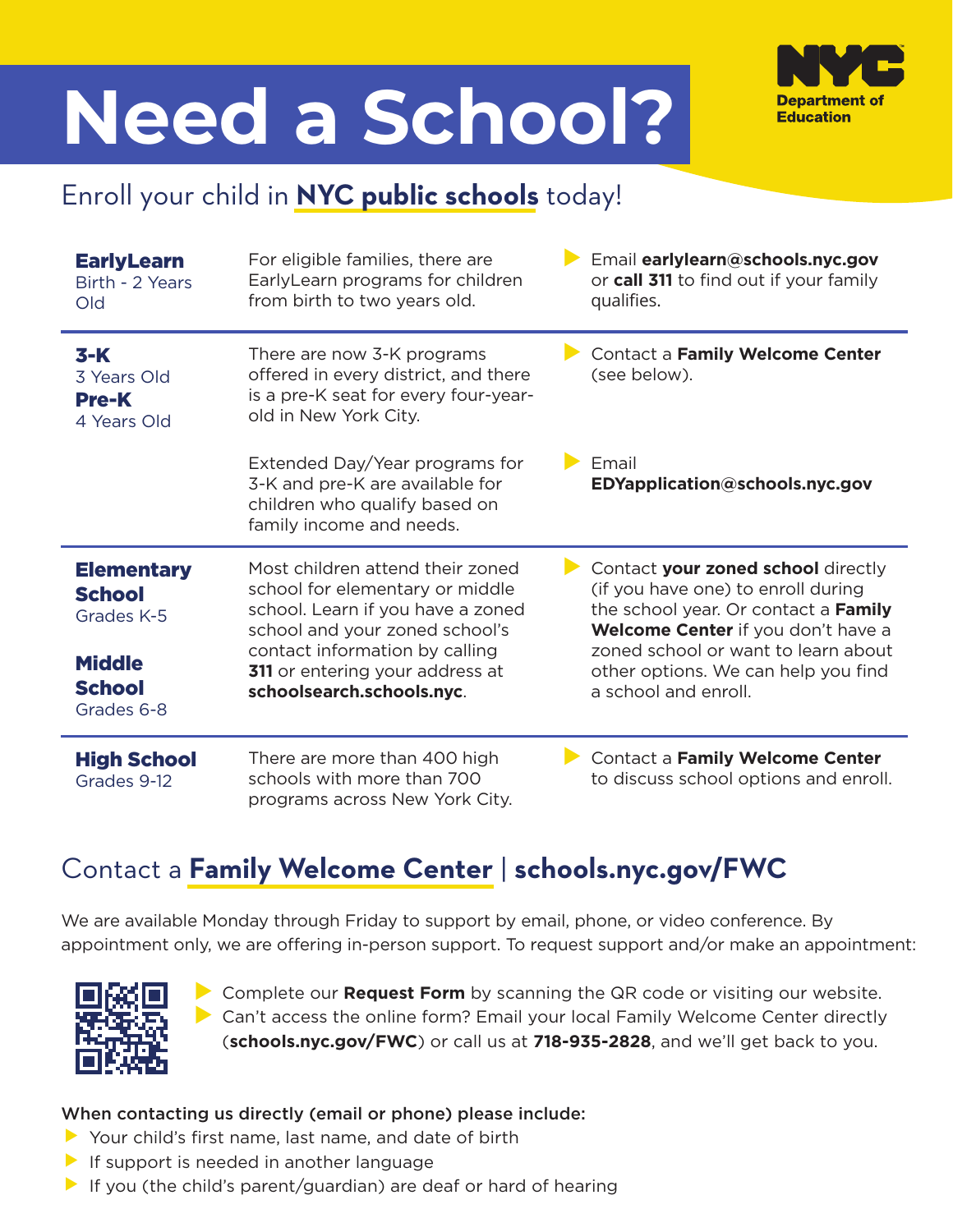# **Need a School?**



## Enroll your child in **NYC public schools** today!

| <b>EarlyLearn</b><br>Birth - 2 Years<br>Old                                                      | For eligible families, there are<br>EarlyLearn programs for children<br>from birth to two years old.                                                                                                                                         | Email earlylearn@schools.nyc.gov<br>or call 311 to find out if your family<br>qualifies.                                                                                                                                                                     |
|--------------------------------------------------------------------------------------------------|----------------------------------------------------------------------------------------------------------------------------------------------------------------------------------------------------------------------------------------------|--------------------------------------------------------------------------------------------------------------------------------------------------------------------------------------------------------------------------------------------------------------|
| $3-K$<br>3 Years Old<br><b>Pre-K</b><br>4 Years Old                                              | There are now 3-K programs<br>offered in every district, and there<br>is a pre-K seat for every four-year-<br>old in New York City.                                                                                                          | Contact a Family Welcome Center<br>(see below).                                                                                                                                                                                                              |
|                                                                                                  | Extended Day/Year programs for<br>3-K and pre-K are available for<br>children who qualify based on<br>family income and needs.                                                                                                               | Email<br>EDYapplication@schools.nyc.gov                                                                                                                                                                                                                      |
| <b>Elementary</b><br><b>School</b><br>Grades K-5<br><b>Middle</b><br><b>School</b><br>Grades 6-8 | Most children attend their zoned<br>school for elementary or middle<br>school. Learn if you have a zoned<br>school and your zoned school's<br>contact information by calling<br>311 or entering your address at<br>schoolsearch.schools.nyc. | Contact your zoned school directly<br>(if you have one) to enroll during<br>the school year. Or contact a Family<br>Welcome Center if you don't have a<br>zoned school or want to learn about<br>other options. We can help you find<br>a school and enroll. |
| <b>High School</b><br>Grades 9-12                                                                | There are more than 400 high<br>schools with more than 700<br>programs across New York City.                                                                                                                                                 | Contact a Family Welcome Center<br>to discuss school options and enroll.                                                                                                                                                                                     |

### Contact a **Family Welcome Center** | **schools.nyc.gov/FWC**

We are available Monday through Friday to support by email, phone, or video conference. By appointment only, we are offering in-person support. To request support and/or make an appointment:



▶ Complete our **Request Form** by scanning the QR code or visiting our website.  $\triangleright$  Can't access the online form? Email your local Family Welcome Center directly (**schools.nyc.gov/FWC**) or call us at **718-935-2828**, and we'll get back to you.

### When contacting us directly (email or phone) please include:

- $\blacktriangleright$  Your child's first name, last name, and date of birth
- $\blacktriangleright$  If support is needed in another language
- $\blacktriangleright$  If you (the child's parent/guardian) are deaf or hard of hearing